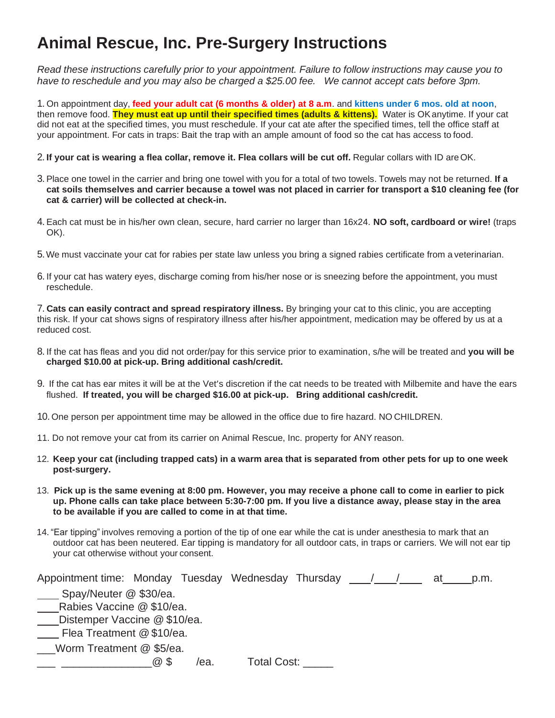## **Animal Rescue, Inc. Pre-Surgery Instructions**

*Read these instructions carefully prior to your appointment. Failure to follow instructions may cause you to have to reschedule and you may also be charged a \$25.00 fee. We cannot accept cats before 3pm.*

1. On appointment day, **feed your adult cat (6 months & older) at 8 a.m**. and **kittens under 6 mos. old at noon**, then remove food. **They must eat up until their specified times (adults & kittens).** Water is OKanytime. If your cat did not eat at the specified times, you must reschedule. If your cat ate after the specified times, tell the office staff at your appointment. For cats in traps: Bait the trap with an ample amount of food so the cat has access to food.

2. If your cat is wearing a flea collar, remove it. Flea collars will be cut off. Regular collars with ID are OK.

- 3. Place one towel in the carrier and bring one towel with you for a total of two towels. Towels may not be returned. **If a cat soils themselves and carrier because a towel was not placed in carrier for transport a \$10 cleaning fee (for cat & carrier) will be collected at check-in.**
- 4. Each cat must be in his/her own clean, secure, hard carrier no larger than 16x24. **NO soft, cardboard or wire!** (traps OK).
- 5.We must vaccinate your cat for rabies per state law unless you bring a signed rabies certificate from a veterinarian.
- 6. If your cat has watery eyes, discharge coming from his/her nose or is sneezing before the appointment, you must reschedule.

7. **Cats can easily contract and spread respiratory illness.** By bringing your cat to this clinic, you are accepting this risk. If your cat shows signs of respiratory illness after his/her appointment, medication may be offered by us at a reduced cost.

- 8. If the cat has fleas and you did not order/pay for this service prior to examination, s/he will be treated and **you will be charged \$10.00 at pick-up. Bring additional cash/credit.**
- 9. If the cat has ear mites it will be at the Vet's discretion if the cat needs to be treated with Milbemite and have the ears flushed. **If treated, you will be charged \$16.00 at pick-up. Bring additional cash/credit.**

10. One person per appointment time may be allowed in the office due to fire hazard. NO CHILDREN.

- 11. Do not remove your cat from its carrier on Animal Rescue, Inc. property for ANY reason.
- 12. Keep your cat (including trapped cats) in a warm area that is separated from other pets for up to one week **post-surgery.**
- 13. **Pick up is the same evening at 8:00 pm. However, you may receive a phone call to come in earlier to pick up. Phone calls can take place between 5:30-7:00 pm. If you live a distance away, please stay in the area to be available if you are called to come in at that time.**
- 14. "Ear tipping" involves removing a portion of the tip of one ear while the cat is under anesthesia to mark that an outdoor cat has been neutered. Ear tipping is mandatory for all outdoor cats, in traps or carriers. We will not ear tip your cat otherwise without your consent.

| Appointment time: Monday Tuesday Wednesday Thursday |            |      |             |  |  |  | at | p.m. |
|-----------------------------------------------------|------------|------|-------------|--|--|--|----|------|
| Spay/Neuter @ \$30/ea.                              |            |      |             |  |  |  |    |      |
| Rabies Vaccine @ \$10/ea.                           |            |      |             |  |  |  |    |      |
| Distemper Vaccine @ \$10/ea.                        |            |      |             |  |  |  |    |      |
| Flea Treatment @ \$10/ea.                           |            |      |             |  |  |  |    |      |
| Worm Treatment @ \$5/ea.                            |            |      |             |  |  |  |    |      |
|                                                     | $\omega$ S | /ea. | Total Cost: |  |  |  |    |      |